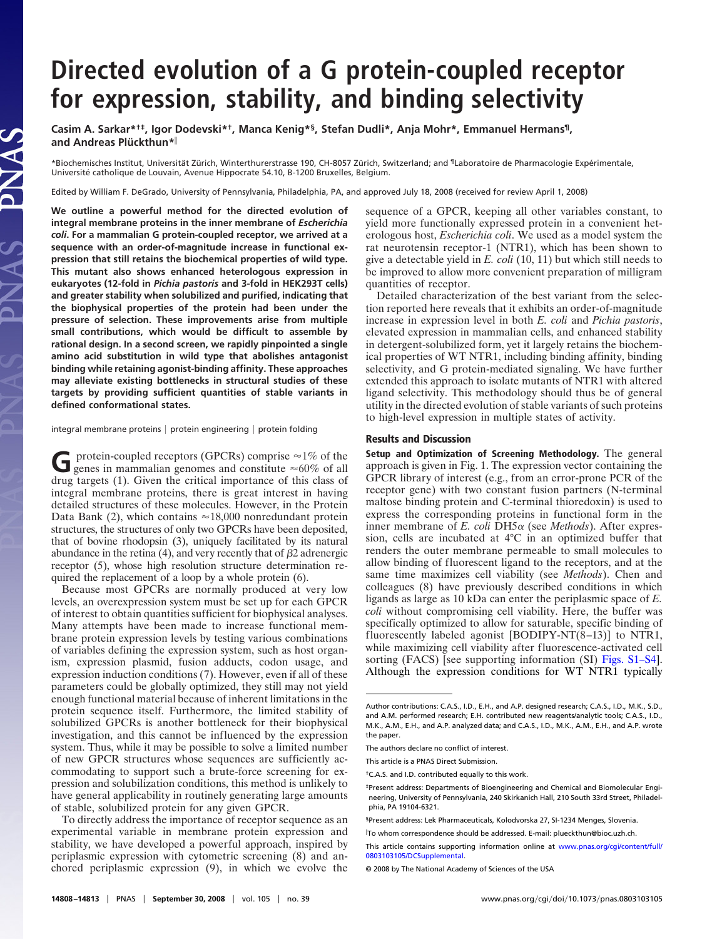# **Directed evolution of a G protein-coupled receptor for expression, stability, and binding selectivity**

**Casim A. Sarkar\*†‡, Igor Dodevski\*†, Manca Kenig\*§, Stefan Dudli\*, Anja Mohr\*, Emmanuel Hermans¶,** and Andreas Plückthun\*<sup>||</sup>

\*Biochemisches Institut, Universität Zürich, Winterthurerstrasse 190, CH-8057 Zürich, Switzerland; and <sup>¶</sup>Laboratoire de Pharmacologie Expérimentale, Université catholique de Louvain, Avenue Hippocrate 54.10, B-1200 Bruxelles, Belgium.

Edited by William F. DeGrado, University of Pennsylvania, Philadelphia, PA, and approved July 18, 2008 (received for review April 1, 2008)

**We outline a powerful method for the directed evolution of integral membrane proteins in the inner membrane of** *Escherichia coli***. For a mammalian G protein-coupled receptor, we arrived at a sequence with an order-of-magnitude increase in functional expression that still retains the biochemical properties of wild type. This mutant also shows enhanced heterologous expression in eukaryotes (12-fold in** *Pichia pastoris* **and 3-fold in HEK293T cells) and greater stability when solubilized and purified, indicating that the biophysical properties of the protein had been under the pressure of selection. These improvements arise from multiple small contributions, which would be difficult to assemble by rational design. In a second screen, we rapidly pinpointed a single amino acid substitution in wild type that abolishes antagonist binding while retaining agonist-binding affinity. These approaches may alleviate existing bottlenecks in structural studies of these targets by providing sufficient quantities of stable variants in defined conformational states.**

JAS

integral membrane proteins | protein engineering | protein folding

G protein-coupled receptors (GPCRs) comprise  $\approx$ 1% of the genes in mammalian genomes and constitute  $\approx$ 60% of all drug targets (1). Given the critical importance of this class of integral membrane proteins, there is great interest in having detailed structures of these molecules. However, in the Protein Data Bank (2), which contains  $\approx 18,000$  nonredundant protein structures, the structures of only two GPCRs have been deposited, that of bovine rhodopsin (3), uniquely facilitated by its natural abundance in the retina  $(4)$ , and very recently that of  $\beta$ 2 adrenergic receptor (5), whose high resolution structure determination required the replacement of a loop by a whole protein (6).

Because most GPCRs are normally produced at very low levels, an overexpression system must be set up for each GPCR of interest to obtain quantities sufficient for biophysical analyses. Many attempts have been made to increase functional membrane protein expression levels by testing various combinations of variables defining the expression system, such as host organism, expression plasmid, fusion adducts, codon usage, and expression induction conditions (7). However, even if all of these parameters could be globally optimized, they still may not yield enough functional material because of inherent limitations in the protein sequence itself. Furthermore, the limited stability of solubilized GPCRs is another bottleneck for their biophysical investigation, and this cannot be influenced by the expression system. Thus, while it may be possible to solve a limited number of new GPCR structures whose sequences are sufficiently accommodating to support such a brute-force screening for expression and solubilization conditions, this method is unlikely to have general applicability in routinely generating large amounts of stable, solubilized protein for any given GPCR.

To directly address the importance of receptor sequence as an experimental variable in membrane protein expression and stability, we have developed a powerful approach, inspired by periplasmic expression with cytometric screening (8) and anchored periplasmic expression (9), in which we evolve the sequence of a GPCR, keeping all other variables constant, to yield more functionally expressed protein in a convenient heterologous host, *Escherichia coli*. We used as a model system the rat neurotensin receptor-1 (NTR1), which has been shown to give a detectable yield in *E. coli* (10, 11) but which still needs to be improved to allow more convenient preparation of milligram quantities of receptor.

Detailed characterization of the best variant from the selection reported here reveals that it exhibits an order-of-magnitude increase in expression level in both *E. coli* and *Pichia pastoris*, elevated expression in mammalian cells, and enhanced stability in detergent-solubilized form, yet it largely retains the biochemical properties of WT NTR1, including binding affinity, binding selectivity, and G protein-mediated signaling. We have further extended this approach to isolate mutants of NTR1 with altered ligand selectivity. This methodology should thus be of general utility in the directed evolution of stable variants of such proteins to high-level expression in multiple states of activity.

## **Results and Discussion**

**Setup and Optimization of Screening Methodology.** The general approach is given in Fig. 1. The expression vector containing the GPCR library of interest (e.g., from an error-prone PCR of the receptor gene) with two constant fusion partners (N-terminal maltose binding protein and C-terminal thioredoxin) is used to express the corresponding proteins in functional form in the inner membrane of *E. coli* DH5α (see *Methods*). After expression, cells are incubated at 4°C in an optimized buffer that renders the outer membrane permeable to small molecules to allow binding of fluorescent ligand to the receptors, and at the same time maximizes cell viability (see *Methods*). Chen and colleagues (8) have previously described conditions in which ligands as large as 10 kDa can enter the periplasmic space of *E. coli* without compromising cell viability. Here, the buffer was specifically optimized to allow for saturable, specific binding of fluorescently labeled agonist [BODIPY-NT(8–13)] to NTR1, while maximizing cell viability after fluorescence-activated cell sorting (FACS) [see supporting information (SI) [Figs. S1–S4\]](http://www.pnas.org/cgi/data/0803103105/DCSupplemental/Supplemental_PDF#nameddest=SF1). Although the expression conditions for WT NTR1 typically

Author contributions: C.A.S., I.D., E.H., and A.P. designed research; C.A.S., I.D., M.K., S.D., and A.M. performed research; E.H. contributed new reagents/analytic tools; C.A.S., I.D., M.K., A.M., E.H., and A.P. analyzed data; and C.A.S., I.D., M.K., A.M., E.H., and A.P. wrote the paper.

The authors declare no conflict of interest.

This article is a PNAS Direct Submission.

<sup>†</sup>C.A.S. and I.D. contributed equally to this work.

<sup>‡</sup>Present address: Departments of Bioengineering and Chemical and Biomolecular Engineering, University of Pennsylvania, 240 Skirkanich Hall, 210 South 33rd Street, Philadelphia, PA 19104-6321.

<sup>§</sup>Present address: Lek Pharmaceuticals, Kolodvorska 27, SI-1234 Menges, Slovenia.

To whom correspondence should be addressed. E-mail: plueckthun@bioc.uzh.ch.

This article contains supporting information online at [www.pnas.org/cgi/content/full/](http://www.pnas.org/cgi/content/full/0803103105/DCSupplemental) [0803103105/DCSupplemental.](http://www.pnas.org/cgi/content/full/0803103105/DCSupplemental)

<sup>© 2008</sup> by The National Academy of Sciences of the USA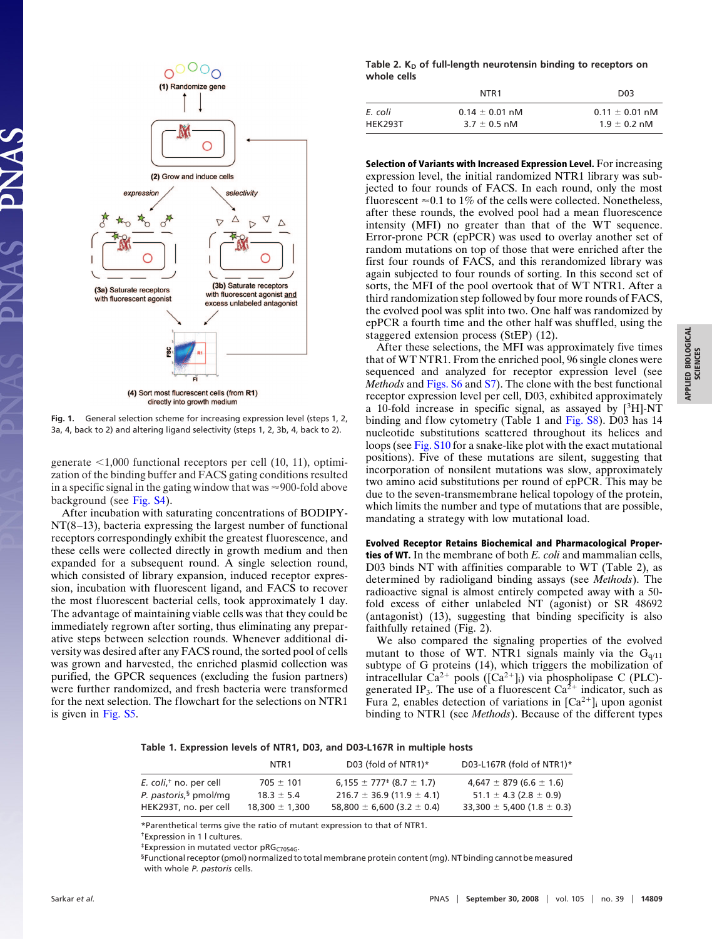

directly into growth medium

**Fig. 1.** General selection scheme for increasing expression level (steps 1, 2, 3a, 4, back to 2) and altering ligand selectivity (steps 1, 2, 3b, 4, back to 2).

generate -1,000 functional receptors per cell (10, 11), optimization of the binding buffer and FACS gating conditions resulted in a specific signal in the gating window that was  $\approx$ 900-fold above background (see [Fig. S4\)](http://www.pnas.org/cgi/data/0803103105/DCSupplemental/SupplementalPPDF#nameddest=SF4).

After incubation with saturating concentrations of BODIPY-NT(8–13), bacteria expressing the largest number of functional receptors correspondingly exhibit the greatest fluorescence, and these cells were collected directly in growth medium and then expanded for a subsequent round. A single selection round, which consisted of library expansion, induced receptor expression, incubation with fluorescent ligand, and FACS to recover the most fluorescent bacterial cells, took approximately 1 day. The advantage of maintaining viable cells was that they could be immediately regrown after sorting, thus eliminating any preparative steps between selection rounds. Whenever additional diversity was desired after any FACS round, the sorted pool of cells was grown and harvested, the enriched plasmid collection was purified, the GPCR sequences (excluding the fusion partners) were further randomized, and fresh bacteria were transformed for the next selection. The flowchart for the selections on NTR1 is given in [Fig. S5.](http://www.pnas.org/cgi/data/0803103105/DCSupplemental/Supplemental_PDF#nameddest=SF5)

Table 2. K<sub>D</sub> of full-length neurotensin binding to receptors on **whole cells**

|         | NTR1               | D <sub>0</sub> 3   |
|---------|--------------------|--------------------|
| E. coli | $0.14 \pm 0.01$ nM | $0.11 \pm 0.01$ nM |
| HEK293T | $3.7 \pm 0.5$ nM   | $1.9 \pm 0.2$ nM   |

**Selection of Variants with Increased Expression Level.** For increasing expression level, the initial randomized NTR1 library was subjected to four rounds of FACS. In each round, only the most fluorescent  $\approx 0.1$  to 1% of the cells were collected. Nonetheless, after these rounds, the evolved pool had a mean fluorescence intensity (MFI) no greater than that of the WT sequence. Error-prone PCR (epPCR) was used to overlay another set of random mutations on top of those that were enriched after the first four rounds of FACS, and this rerandomized library was again subjected to four rounds of sorting. In this second set of sorts, the MFI of the pool overtook that of WT NTR1. After a third randomization step followed by four more rounds of FACS, the evolved pool was split into two. One half was randomized by epPCR a fourth time and the other half was shuffled, using the staggered extension process (StEP) (12).

After these selections, the MFI was approximately five times that of WT NTR1. From the enriched pool, 96 single clones were sequenced and analyzed for receptor expression level (see *Methods* and [Figs. S6](http://www.pnas.org/cgi/data/0803103105/DCSupplemental/Supplemental_PDF#nameddest=SF6) and [S7\)](http://www.pnas.org/cgi/data/0803103105/DCSupplemental/Supplemental_PDF#nameddest=SF7). The clone with the best functional receptor expression level per cell, D03, exhibited approximately a 10-fold increase in specific signal, as assayed by  $[3H]$ -NT binding and flow cytometry (Table 1 and [Fig. S8\)](http://www.pnas.org/cgi/data/0803103105/DCSupplemental/Supplemental_PDF#nameddest=SF8). D03 has 14 nucleotide substitutions scattered throughout its helices and loops (see [Fig. S10](http://www.pnas.org/cgi/data/0803103105/DCSupplemental/Supplemental_PDF#nameddest=SF10) for a snake-like plot with the exact mutational positions). Five of these mutations are silent, suggesting that incorporation of nonsilent mutations was slow, approximately two amino acid substitutions per round of epPCR. This may be due to the seven-transmembrane helical topology of the protein, which limits the number and type of mutations that are possible, mandating a strategy with low mutational load.

# **Evolved Receptor Retains Biochemical and Pharmacological Properties of WT.** In the membrane of both *E. coli* and mammalian cells, D03 binds NT with affinities comparable to WT (Table 2), as determined by radioligand binding assays (see *Methods*). The radioactive signal is almost entirely competed away with a 50 fold excess of either unlabeled NT (agonist) or SR 48692 (antagonist) (13), suggesting that binding specificity is also faithfully retained (Fig. 2).

We also compared the signaling properties of the evolved mutant to those of WT. NTR1 signals mainly via the  $G<sub>q/11</sub>$ subtype of G proteins (14), which triggers the mobilization of intracellular Ca<sup>2+</sup> pools ( $[Ca^{2+}]$ <sub>i</sub>) via phospholipase C (PLC)generated IP<sub>3</sub>. The use of a fluorescent  $Ca^{2+}$  indicator, such as Fura 2, enables detection of variations in  $[Ca^{2+}]_i$  upon agonist binding to NTR1 (see *Methods*). Because of the different types

|  |  | Table 1. Expression levels of NTR1, D03, and D03-L167R in multiple hosts |  |  |  |  |  |  |  |  |  |
|--|--|--------------------------------------------------------------------------|--|--|--|--|--|--|--|--|--|
|--|--|--------------------------------------------------------------------------|--|--|--|--|--|--|--|--|--|

| NTR1               | D03 (fold of NTR1) $*$             | D03-L167R (fold of NTR1) $*$       |
|--------------------|------------------------------------|------------------------------------|
| $705 \pm 101$      | $6.155 \pm 777$ $(8.7 \pm 1.7)$    | $4,647 \pm 879$ (6.6 $\pm$ 1.6)    |
| $18.3 \pm 5.4$     | $216.7 \pm 36.9$ (11.9 $\pm$ 4.1)  | $51.1 \pm 4.3$ (2.8 $\pm$ 0.9)     |
| $18.300 \pm 1.300$ | 58,800 $\pm$ 6,600 (3.2 $\pm$ 0.4) | $33,300 \pm 5,400$ (1.8 $\pm$ 0.3) |
|                    |                                    |                                    |

\*Parenthetical terms give the ratio of mutant expression to that of NTR1.

†Expression in 1 l cultures.

*\*Expression in mutated vector pRG<sub>C7054G</sub>*.

§Functional receptor (pmol) normalized to total membrane protein content (mg). NT binding cannot be measured with whole *P. pastoris* cells.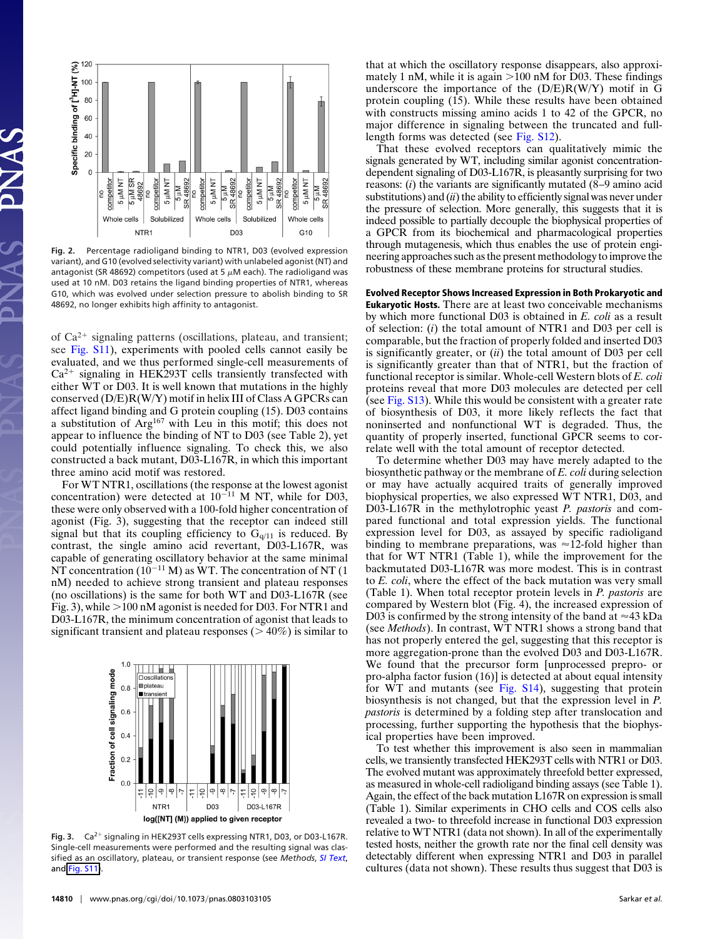

**Fig. 2.** Percentage radioligand binding to NTR1, D03 (evolved expression variant), and G10 (evolved selectivity variant) with unlabeled agonist (NT) and antagonist (SR 48692) competitors (used at 5  $\mu$ M each). The radioligand was used at 10 nM. D03 retains the ligand binding properties of NTR1, whereas G10, which was evolved under selection pressure to abolish binding to SR 48692, no longer exhibits high affinity to antagonist.

of  $Ca^{2+}$  signaling patterns (oscillations, plateau, and transient; see [Fig. S11\)](http://www.pnas.org/cgi/data/0803103105/DCSupplemental/Supplemental_PDF#nameddest=SF11), experiments with pooled cells cannot easily be evaluated, and we thus performed single-cell measurements of  $Ca<sup>2+</sup>$  signaling in HEK293T cells transiently transfected with either WT or D03. It is well known that mutations in the highly conserved (D/E)R(W/Y) motif in helix III of Class A GPCRs can affect ligand binding and G protein coupling (15). D03 contains a substitution of Arg<sup>167</sup> with Leu in this motif; this does not appear to influence the binding of NT to D03 (see Table 2), yet could potentially influence signaling. To check this, we also constructed a back mutant, D03-L167R, in which this important three amino acid motif was restored.

For WT NTR1, oscillations (the response at the lowest agonist concentration) were detected at  $10^{-11}$  M NT, while for D03, these were only observed with a 100-fold higher concentration of agonist (Fig. 3), suggesting that the receptor can indeed still signal but that its coupling efficiency to  $G_{q/11}$  is reduced. By contrast, the single amino acid revertant, D03-L167R, was capable of generating oscillatory behavior at the same minimal NT concentration ( $10^{-11}$  M) as WT. The concentration of NT (1) nM) needed to achieve strong transient and plateau responses (no oscillations) is the same for both WT and D03-L167R (see Fig. 3), while  $>100$  nM agonist is needed for D03. For NTR1 and D03-L167R, the minimum concentration of agonist that leads to significant transient and plateau responses ( $> 40\%$ ) is similar to



Fig. 3. Ca<sup>2+</sup> signaling in HEK293T cells expressing NTR1, D03, or D03-L167R. Single-cell measurements were performed and the resulting signal was classified as an oscillatory, plateau, or transient response (see *Methods*, *[SI Text](http://www.pnas.org/cgi/data/0803103105/DCSupplemental/Supplemental_PDF#nameddest=STXT)*, and [Fig. S11\)](http://www.pnas.org/cgi/data/0803103105/DCSupplemental/Supplemental_PDF#nameddest=SF11/Border [0 0 0]).

that at which the oscillatory response disappears, also approximately 1 nM, while it is again  $>100$  nM for D03. These findings underscore the importance of the  $(D/E)R(W/Y)$  motif in  $\overline{G}$ protein coupling (15). While these results have been obtained with constructs missing amino acids 1 to 42 of the GPCR, no major difference in signaling between the truncated and fulllength forms was detected (see [Fig. S12\)](http://www.pnas.org/cgi/data/0803103105/DCSupplemental/Supplemental_PDF#nameddest=SF12).

That these evolved receptors can qualitatively mimic the signals generated by WT, including similar agonist concentrationdependent signaling of D03-L167R, is pleasantly surprising for two reasons: (*i*) the variants are significantly mutated (8–9 amino acid substitutions) and (*ii*) the ability to efficiently signal was never under the pressure of selection. More generally, this suggests that it is indeed possible to partially decouple the biophysical properties of a GPCR from its biochemical and pharmacological properties through mutagenesis, which thus enables the use of protein engineering approaches such as the present methodology to improve the robustness of these membrane proteins for structural studies.

**Evolved Receptor Shows Increased Expression in Both Prokaryotic and Eukaryotic Hosts.** There are at least two conceivable mechanisms by which more functional D03 is obtained in *E. coli* as a result of selection: (*i*) the total amount of NTR1 and D03 per cell is comparable, but the fraction of properly folded and inserted D03 is significantly greater, or (*ii*) the total amount of D03 per cell is significantly greater than that of NTR1, but the fraction of functional receptor is similar. Whole-cell Western blots of *E. coli* proteins reveal that more D03 molecules are detected per cell (see [Fig. S13\)](http://www.pnas.org/cgi/data/0803103105/DCSupplemental/Supplemental_PDF#nameddest=SF13). While this would be consistent with a greater rate of biosynthesis of D03, it more likely reflects the fact that noninserted and nonfunctional WT is degraded. Thus, the quantity of properly inserted, functional GPCR seems to correlate well with the total amount of receptor detected.

To determine whether D03 may have merely adapted to the biosynthetic pathway or the membrane of *E. coli* during selection or may have actually acquired traits of generally improved biophysical properties, we also expressed WT NTR1, D03, and D03-L167R in the methylotrophic yeast *P. pastoris* and compared functional and total expression yields. The functional expression level for D03, as assayed by specific radioligand binding to membrane preparations, was  $\approx$  12-fold higher than that for WT NTR1 (Table 1), while the improvement for the backmutated D03-L167R was more modest. This is in contrast to *E. coli*, where the effect of the back mutation was very small (Table 1). When total receptor protein levels in *P. pastoris* are compared by Western blot (Fig. 4), the increased expression of D03 is confirmed by the strong intensity of the band at  $\approx$ 43 kDa (see *Methods*). In contrast, WT NTR1 shows a strong band that has not properly entered the gel, suggesting that this receptor is more aggregation-prone than the evolved D03 and D03-L167R. We found that the precursor form [unprocessed prepro- or pro-alpha factor fusion (16)] is detected at about equal intensity for WT and mutants (see [Fig. S14\)](http://www.pnas.org/cgi/data/0803103105/DCSupplemental/Supplemental_PDF#nameddest=SF14), suggesting that protein biosynthesis is not changed, but that the expression level in *P. pastoris* is determined by a folding step after translocation and processing, further supporting the hypothesis that the biophysical properties have been improved.

To test whether this improvement is also seen in mammalian cells, we transiently transfected HEK293T cells with NTR1 or D03. The evolved mutant was approximately threefold better expressed, as measured in whole-cell radioligand binding assays (see Table 1). Again, the effect of the back mutation L167R on expression is small (Table 1). Similar experiments in CHO cells and COS cells also revealed a two- to threefold increase in functional D03 expression relative to WT NTR1 (data not shown). In all of the experimentally tested hosts, neither the growth rate nor the final cell density was detectably different when expressing NTR1 and D03 in parallel cultures (data not shown). These results thus suggest that D03 is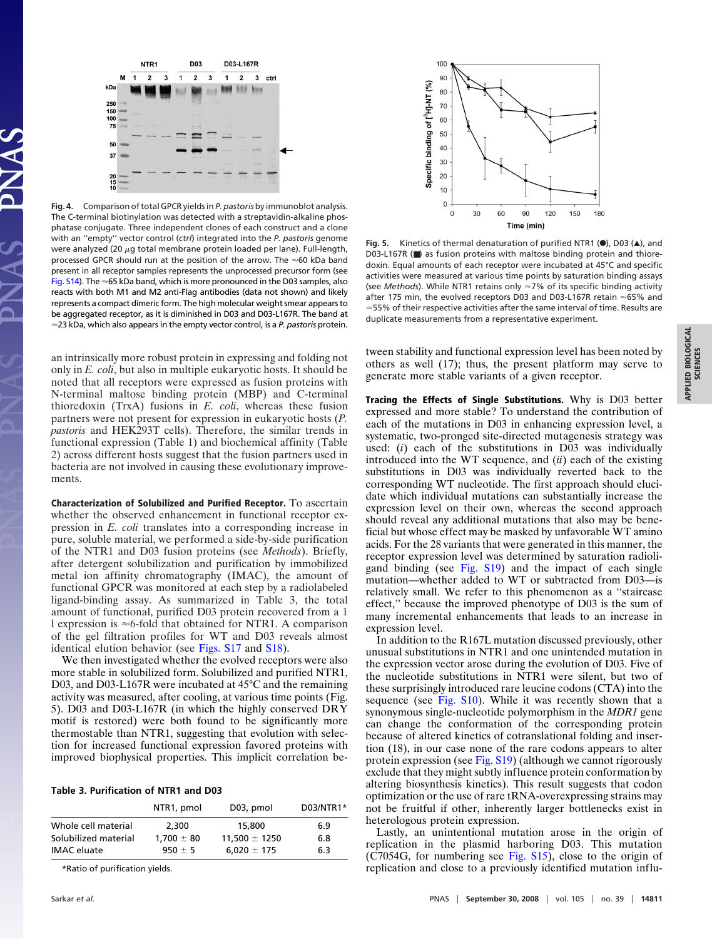

**Fig. 4.** Comparison of total GPCR yields in *P. pastoris* by immunoblot analysis. The C-terminal biotinylation was detected with a streptavidin-alkaline phosphatase conjugate. Three independent clones of each construct and a clone with an ''empty'' vector control (*ctrl*) integrated into the *P. pastoris* genome were analyzed (20  $\mu$ g total membrane protein loaded per lane). Full-length, processed GPCR should run at the position of the arrow. The  $\approx$  60 kDa band present in all receptor samples represents the unprocessed precursor form (see [Fig. S14\)](http://www.pnas.org/cgi/data/0803103105/DCSupplemental/Supplemenatal_PDF#nameddest=SF14). The  $\approx$  65 kDa band, which is more pronounced in the D03 samples, also reacts with both M1 and M2 anti-Flag antibodies (data not shown) and likely represents a compact dimeric form. The high molecular weight smear appears to be aggregated receptor, as it is diminished in D03 and D03-L167R. The band at 23 kDa, which also appears in the empty vector control, is a *P. pastoris* protein.

an intrinsically more robust protein in expressing and folding not only in *E. coli*, but also in multiple eukaryotic hosts. It should be noted that all receptors were expressed as fusion proteins with N-terminal maltose binding protein (MBP) and C-terminal thioredoxin (TrxA) fusions in *E. coli*, whereas these fusion partners were not present for expression in eukaryotic hosts (*P. pastoris* and HEK293T cells). Therefore, the similar trends in functional expression (Table 1) and biochemical affinity (Table 2) across different hosts suggest that the fusion partners used in bacteria are not involved in causing these evolutionary improvements.

**Characterization of Solubilized and Purified Receptor.** To ascertain whether the observed enhancement in functional receptor expression in *E. coli* translates into a corresponding increase in pure, soluble material, we performed a side-by-side purification of the NTR1 and D03 fusion proteins (see *Methods*). Briefly, after detergent solubilization and purification by immobilized metal ion affinity chromatography (IMAC), the amount of functional GPCR was monitored at each step by a radiolabeled ligand-binding assay. As summarized in Table 3, the total amount of functional, purified D03 protein recovered from a 1 l expression is  $\approx$ 6-fold that obtained for NTR1. A comparison of the gel filtration profiles for WT and D03 reveals almost identical elution behavior (see [Figs. S17](http://www.pnas.org/cgi/data/0803103105/DCSupplemental/Supplemental_PDF#nameddest=ST17) and [S18\)](http://www.pnas.org/cgi/data/0803103105/DCSupplemental/Supplemental_PDF#nameddest=SF18).

We then investigated whether the evolved receptors were also more stable in solubilized form. Solubilized and purified NTR1, D03, and D03-L167R were incubated at 45°C and the remaining activity was measured, after cooling, at various time points (Fig. 5). D03 and D03-L167R (in which the highly conserved DRY motif is restored) were both found to be significantly more thermostable than NTR1, suggesting that evolution with selection for increased functional expression favored proteins with improved biophysical properties. This implicit correlation be-

#### **Table 3. Purification of NTR1 and D03**

|                      | NTR <sub>1</sub> , pmol | D03, pmol         | D03/NTR1* |
|----------------------|-------------------------|-------------------|-----------|
| Whole cell material  | 2,300                   | 15,800            | 6.9       |
| Solubilized material | $1.700 \pm 80$          | $11.500 \pm 1250$ | 6.8       |
| <b>IMAC</b> eluate   | $950 \pm 5$             | $6,020 \pm 175$   | 6.3       |

\*Ratio of purification yields.



**Fig. 5.** Kinetics of thermal denaturation of purified NTR1 (<sup>O</sup>), D03 ( $\triangle$ ), and D03-L167R (■) as fusion proteins with maltose binding protein and thioredoxin. Equal amounts of each receptor were incubated at 45°C and specific activities were measured at various time points by saturation binding assays (see *Methods*). While NTR1 retains only 7% of its specific binding activity after 175 min, the evolved receptors D03 and D03-L167R retain  $\approx$  65% and  $\approx$  55% of their respective activities after the same interval of time. Results are duplicate measurements from a representative experiment.

tween stability and functional expression level has been noted by others as well (17); thus, the present platform may serve to generate more stable variants of a given receptor.

**Tracing the Effects of Single Substitutions.** Why is D03 better expressed and more stable? To understand the contribution of each of the mutations in D03 in enhancing expression level, a systematic, two-pronged site-directed mutagenesis strategy was used: (*i*) each of the substitutions in D03 was individually introduced into the WT sequence, and (*ii*) each of the existing substitutions in D03 was individually reverted back to the corresponding WT nucleotide. The first approach should elucidate which individual mutations can substantially increase the expression level on their own, whereas the second approach should reveal any additional mutations that also may be beneficial but whose effect may be masked by unfavorable WT amino acids. For the 28 variants that were generated in this manner, the receptor expression level was determined by saturation radioligand binding (see [Fig. S19\)](http://www.pnas.org/cgi/data/0803103105/DCSupplemental/Supplemental_PDF#nameddest=SF19) and the impact of each single mutation—whether added to WT or subtracted from D03—is relatively small. We refer to this phenomenon as a ''staircase effect,'' because the improved phenotype of D03 is the sum of many incremental enhancements that leads to an increase in expression level.

In addition to the R167L mutation discussed previously, other unusual substitutions in NTR1 and one unintended mutation in the expression vector arose during the evolution of D03. Five of the nucleotide substitutions in NTR1 were silent, but two of these surprisingly introduced rare leucine codons (CTA) into the sequence (see [Fig. S10\)](http://www.pnas.org/cgi/data/0803103105/DCSupplemental/Supplemental_PDF#nameddest=ST10). While it was recently shown that a synonymous single-nucleotide polymorphism in the *MDR1* gene can change the conformation of the corresponding protein because of altered kinetics of cotranslational folding and insertion (18), in our case none of the rare codons appears to alter protein expression (see [Fig. S19\)](http://www.pnas.org/cgi/data/0803103105/DCSupplemental/Supplemental_PDF#nameddest=SF19) (although we cannot rigorously exclude that they might subtly influence protein conformation by altering biosynthesis kinetics). This result suggests that codon optimization or the use of rare tRNA-overexpressing strains may not be fruitful if other, inherently larger bottlenecks exist in heterologous protein expression.

Lastly, an unintentional mutation arose in the origin of replication in the plasmid harboring D03. This mutation (C7054G, for numbering see [Fig. S15\)](http://www.pnas.org/cgi/data/0803103105/DCSupplemental/Supplemental_PDF#nameddest=SF15), close to the origin of replication and close to a previously identified mutation influ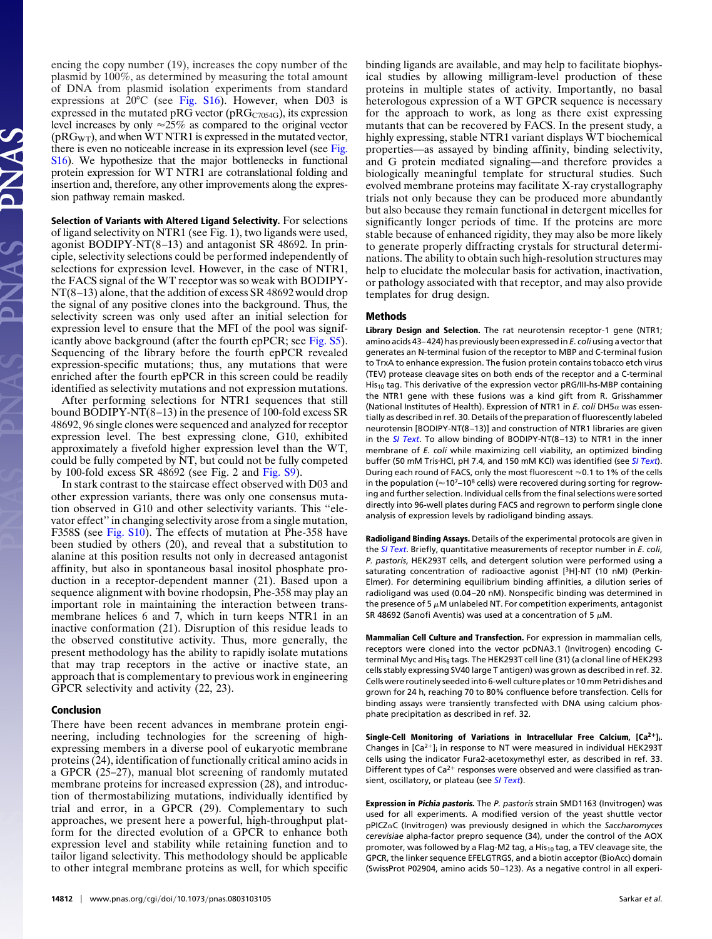encing the copy number (19), increases the copy number of the plasmid by 100%, as determined by measuring the total amount of DNA from plasmid isolation experiments from standard expressions at 20°C (see [Fig. S16\)](http://www.pnas.org/cgi/content/full/0803103105/DCSupplemental/Supplemental_PDF#nameddest=SF16). However, when D03 is expressed in the mutated pRG vector (pRG $_{C7054G}$ ), its expression level increases by only  $\approx 25\%$  as compared to the original vector  $(pRG_{WT})$ , and when WT NTR1 is expressed in the mutated vector, there is even no noticeable increase in its expression level (see [Fig.](http://www.pnas.org/cgi/data/0803103105/DCSupplemental/Supplemental_PDF#nameddest=SF16) [S16\)](http://www.pnas.org/cgi/data/0803103105/DCSupplemental/Supplemental_PDF#nameddest=SF16). We hypothesize that the major bottlenecks in functional protein expression for WT NTR1 are cotranslational folding and insertion and, therefore, any other improvements along the expression pathway remain masked.

**Selection of Variants with Altered Ligand Selectivity.** For selections of ligand selectivity on NTR1 (see Fig. 1), two ligands were used, agonist BODIPY-NT(8–13) and antagonist SR 48692. In principle, selectivity selections could be performed independently of selections for expression level. However, in the case of NTR1, the FACS signal of the WT receptor was so weak with BODIPY-NT(8–13) alone, that the addition of excess SR 48692 would drop the signal of any positive clones into the background. Thus, the selectivity screen was only used after an initial selection for expression level to ensure that the MFI of the pool was significantly above background (after the fourth epPCR; see [Fig. S5\)](http://www.pnas.org/cgi/data/0803103105/DCSupplemental/Supplemental_PDF#nameddest=SF5). Sequencing of the library before the fourth epPCR revealed expression-specific mutations; thus, any mutations that were enriched after the fourth epPCR in this screen could be readily identified as selectivity mutations and not expression mutations.

After performing selections for NTR1 sequences that still bound BODIPY-NT(8–13) in the presence of 100-fold excess SR 48692, 96 single clones were sequenced and analyzed for receptor expression level. The best expressing clone, G10, exhibited approximately a fivefold higher expression level than the WT, could be fully competed by NT, but could not be fully competed by 100-fold excess SR 48692 (see Fig. 2 and [Fig. S9\)](http://www.pnas.org/cgi/data/0803103105/DCSupplemental/Supplemental_PDF#nameddest=SF9).

In stark contrast to the staircase effect observed with D03 and other expression variants, there was only one consensus mutation observed in G10 and other selectivity variants. This ''elevator effect'' in changing selectivity arose from a single mutation, F358S (see [Fig. S10\)](http://www.pnas.org/cgi/data/0803103105/DCSupplemental/Supplemental_PDF#nameddest=SF10). The effects of mutation at Phe-358 have been studied by others (20), and reveal that a substitution to alanine at this position results not only in decreased antagonist affinity, but also in spontaneous basal inositol phosphate production in a receptor-dependent manner (21). Based upon a sequence alignment with bovine rhodopsin, Phe-358 may play an important role in maintaining the interaction between transmembrane helices 6 and 7, which in turn keeps NTR1 in an inactive conformation (21). Disruption of this residue leads to the observed constitutive activity. Thus, more generally, the present methodology has the ability to rapidly isolate mutations that may trap receptors in the active or inactive state, an approach that is complementary to previous work in engineering GPCR selectivity and activity (22, 23).

#### **Conclusion**

There have been recent advances in membrane protein engineering, including technologies for the screening of highexpressing members in a diverse pool of eukaryotic membrane proteins (24), identification of functionally critical amino acids in a GPCR (25–27), manual blot screening of randomly mutated membrane proteins for increased expression (28), and introduction of thermostabilizing mutations, individually identified by trial and error, in a GPCR (29). Complementary to such approaches, we present here a powerful, high-throughput platform for the directed evolution of a GPCR to enhance both expression level and stability while retaining function and to tailor ligand selectivity. This methodology should be applicable to other integral membrane proteins as well, for which specific binding ligands are available, and may help to facilitate biophysical studies by allowing milligram-level production of these proteins in multiple states of activity. Importantly, no basal heterologous expression of a WT GPCR sequence is necessary for the approach to work, as long as there exist expressing mutants that can be recovered by FACS. In the present study, a highly expressing, stable NTR1 variant displays WT biochemical properties—as assayed by binding affinity, binding selectivity, and G protein mediated signaling—and therefore provides a biologically meaningful template for structural studies. Such evolved membrane proteins may facilitate X-ray crystallography trials not only because they can be produced more abundantly but also because they remain functional in detergent micelles for significantly longer periods of time. If the proteins are more stable because of enhanced rigidity, they may also be more likely to generate properly diffracting crystals for structural determinations. The ability to obtain such high-resolution structures may help to elucidate the molecular basis for activation, inactivation, or pathology associated with that receptor, and may also provide templates for drug design.

### **Methods**

**Library Design and Selection.** The rat neurotensin receptor-1 gene (NTR1; amino acids 43–424) has previously been expressed in *E. coli* using a vector that generates an N-terminal fusion of the receptor to MBP and C-terminal fusion to TrxA to enhance expression. The fusion protein contains tobacco etch virus (TEV) protease cleavage sites on both ends of the receptor and a C-terminal His10 tag. This derivative of the expression vector pRG/III-hs-MBP containing the NTR1 gene with these fusions was a kind gift from R. Grisshammer (National Institutes of Health). Expression of NTR1 in  $E$ . coli DH5 $\alpha$  was essentially as described in ref. 30. Details of the preparation of fluorescently labeled neurotensin [BODIPY-NT(8–13)] and construction of NTR1 libraries are given in the *[SI Text](http://www.pnas.org/cgi/data/0803103105/DCSupplemental/Supplemental_PDF#nameddest=STXT)*. To allow binding of BODIPY-NT(8–13) to NTR1 in the inner membrane of *E. coli* while maximizing cell viability, an optimized binding buffer (50 mM TrisHCl, pH 7.4, and 150 mM KCl) was identified (see *[SI Text](http://www.pnas.org/cgi/data/0803103105/DCSupplemental/Supplemental_PDF#nameddest=STXT)*). During each round of FACS, only the most fluorescent  $\approx$  0.1 to 1% of the cells in the population ( $\approx$  10<sup>7</sup>–10<sup>8</sup> cells) were recovered during sorting for regrowing and further selection. Individual cells from the final selections were sorted directly into 96-well plates during FACS and regrown to perform single clone analysis of expression levels by radioligand binding assays.

**Radioligand Binding Assays.** Details of the experimental protocols are given in the *[SI Text](http://www.pnas.org/cgi/data/0803103105/DCSupplemental/Supplemental_PDF#nameddest=STXT)*. Briefly, quantitative measurements of receptor number in *E. coli*, *P. pastoris*, HEK293T cells, and detergent solution were performed using a saturating concentration of radioactive agonist [<sup>3</sup>H]-NT (10 nM) (Perkin-Elmer). For determining equilibrium binding affinities, a dilution series of radioligand was used (0.04–20 nM). Nonspecific binding was determined in the presence of 5  $\mu$ M unlabeled NT. For competition experiments, antagonist SR 48692 (Sanofi Aventis) was used at a concentration of 5  $\mu$ M.

**Mammalian Cell Culture and Transfection.** For expression in mammalian cells, receptors were cloned into the vector pcDNA3.1 (Invitrogen) encoding Cterminal Myc and His6 tags. The HEK293T cell line (31) (a clonal line of HEK293 cells stably expressing SV40 large T antigen) was grown as described in ref. 32. Cells were routinely seeded into 6-well culture plates or 10 mm Petri dishes and grown for 24 h, reaching 70 to 80% confluence before transfection. Cells for binding assays were transiently transfected with DNA using calcium phosphate precipitation as described in ref. 32.

**Single-Cell Monitoring of Variations in Intracellular Free Calcium, [Ca2]i.** Changes in  $[Ca^{2+}]$ ; in response to NT were measured in individual HEK293T cells using the indicator Fura2-acetoxymethyl ester, as described in ref. 33. Different types of  $Ca^{2+}$  responses were observed and were classified as transient, oscillatory, or plateau (see *[SI Text](http://www.pnas.org/cgi/data/0803103105/DCSupplemental/Supplemental_PDF#nameddest=STXT)*).

**Expression in Pichia pastoris.** The *P. pastoris* strain SMD1163 (Invitrogen) was used for all experiments. A modified version of the yeast shuttle vector pPICZaC (Invitrogen) was previously designed in which the Saccharomyces *cerevisiae* alpha-factor prepro sequence (34), under the control of the AOX promoter, was followed by a Flag-M2 tag, a His<sub>10</sub> tag, a TEV cleavage site, the GPCR, the linker sequence EFELGTRGS, and a biotin acceptor (BioAcc) domain (SwissProt P02904, amino acids 50–123). As a negative control in all experi